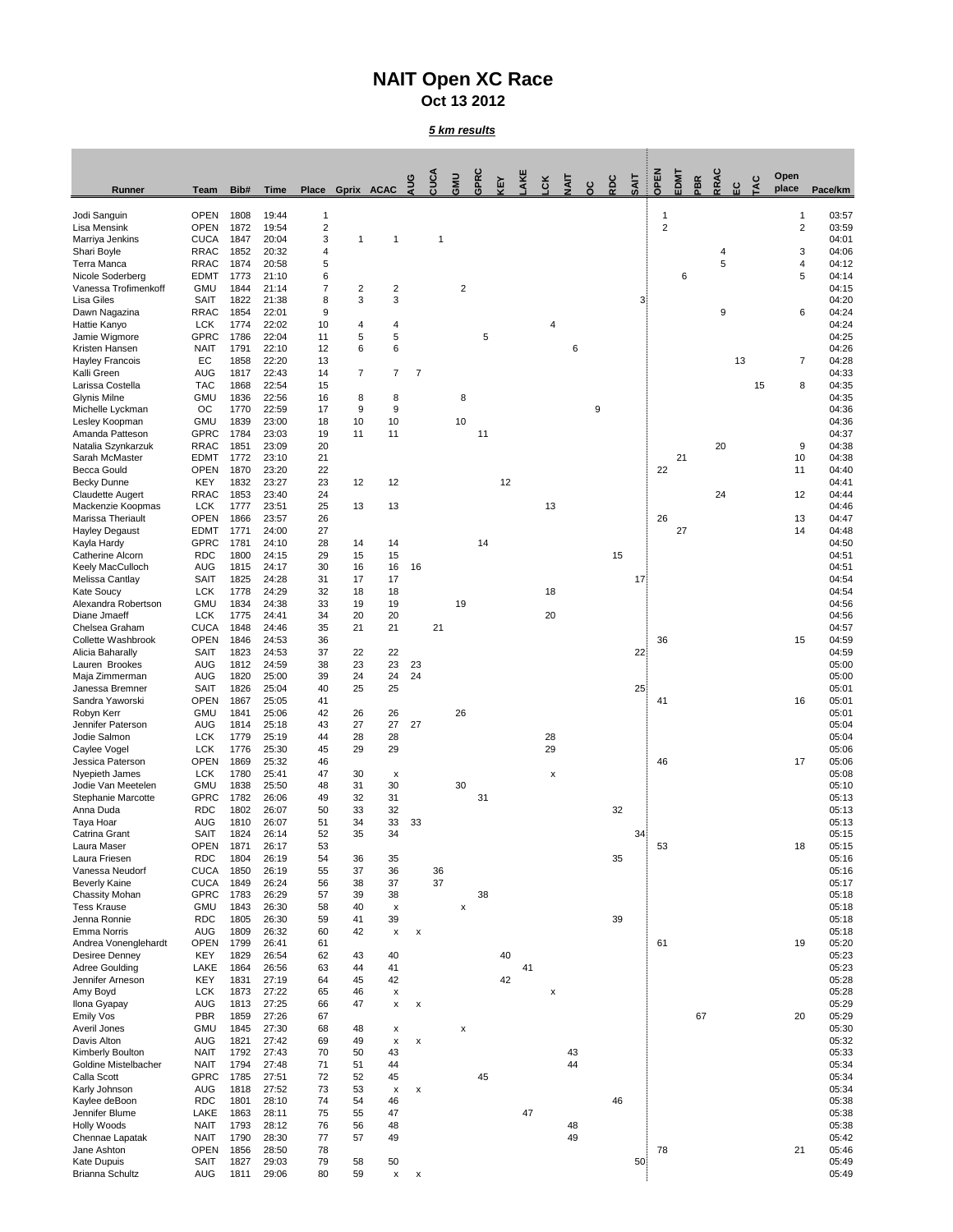## **NAIT Open XC Race Oct 13 2012**

## *5 km results*

| <b>Runner</b>                                   | <b>Team</b>                | Bib#         | <b>Time</b>    | <b>Place</b> |                | Gprix ACAC                | AUG                       | CUCA | GMU                | GPRC       | <b>A3</b> | AKE | СK       | IIAIT | ပ္ပ | RDC | <b>SAIT</b>     | <b>OPEN</b>    | EDMT | PBR | RRAC   | ပ္မ | <b>TAC</b> | Open<br>place  | Pace/km        |
|-------------------------------------------------|----------------------------|--------------|----------------|--------------|----------------|---------------------------|---------------------------|------|--------------------|------------|-----------|-----|----------|-------|-----|-----|-----------------|----------------|------|-----|--------|-----|------------|----------------|----------------|
| Jodi Sanguin                                    | <b>OPEN</b>                | 1808         | 19:44          | 1            |                |                           |                           |      |                    |            |           |     |          |       |     |     |                 | 1              |      |     |        |     |            |                | 03:57          |
| Lisa Mensink                                    | <b>OPEN</b>                | 1872         | 19:54          | 2            |                |                           |                           |      |                    |            |           |     |          |       |     |     |                 | $\overline{2}$ |      |     |        |     |            | $\overline{2}$ | 03:59          |
| Marriya Jenkins                                 | <b>CUCA</b>                | 1847         | 20:04          | 3            | $\mathbf{1}$   |                           |                           |      |                    |            |           |     |          |       |     |     |                 |                |      |     |        |     |            |                | 04:01          |
| Shari Boyle<br>Terra Manca                      | <b>RRAC</b><br><b>RRAC</b> | 1852<br>1874 | 20:32<br>20:58 | 4<br>5       |                |                           |                           |      |                    |            |           |     |          |       |     |     |                 |                |      |     | 4<br>5 |     |            | 3<br>4         | 04:06<br>04:12 |
| Nicole Soderberg                                | <b>EDMT</b>                | 1773         | 21:10          | 6            |                |                           |                           |      |                    |            |           |     |          |       |     |     |                 |                | 6    |     |        |     |            | 5              | 04:14          |
| Vanessa Trofimenkoff                            | <b>GMU</b>                 | 1844         | 21:14          | 7            | $\overline{2}$ | 2                         |                           |      | $\overline{c}$     |            |           |     |          |       |     |     |                 |                |      |     |        |     |            |                | 04:15          |
| <b>Lisa Giles</b>                               | <b>SAIT</b>                | 1822         | 21:38          | 8            | $\mathbf{3}$   | 3                         |                           |      |                    |            |           |     |          |       |     |     | 3 <sup>1</sup>  |                |      |     |        |     |            |                | 04:20          |
| Dawn Nagazina<br>Hattie Kanyo                   | <b>RRAC</b><br><b>LCK</b>  | 1854<br>1774 | 22:01<br>22:02 | 9<br>10      | 4              | 4                         |                           |      |                    |            |           |     | 4        |       |     |     |                 |                |      |     | 9      |     |            | 6              | 04:24<br>04:24 |
| Jamie Wigmore                                   | <b>GPRC</b>                | 1786         | 22:04          | 11           | 5              | $\overline{5}$            |                           |      |                    | $\sqrt{5}$ |           |     |          |       |     |     |                 |                |      |     |        |     |            |                | 04:25          |
| Kristen Hansen                                  | <b>NAIT</b>                | 1791         | 22:10          | 12           | $6\phantom{1}$ | 6                         |                           |      |                    |            |           |     |          | 6     |     |     |                 |                |      |     |        |     |            |                | 04:26          |
| <b>Hayley Francois</b>                          | EC                         | 1858         | 22:20          | 13           |                |                           |                           |      |                    |            |           |     |          |       |     |     |                 |                |      |     |        | 13  |            | $\overline{7}$ | 04:28          |
| Kalli Green<br>Larissa Costella                 | <b>AUG</b><br><b>TAC</b>   | 1817<br>1868 | 22:43<br>22:54 | 14<br>15     | $\overline{7}$ | $\overline{7}$            | $\overline{7}$            |      |                    |            |           |     |          |       |     |     |                 |                |      |     |        |     | 15         | 8              | 04:33<br>04:35 |
| <b>Glynis Milne</b>                             | <b>GMU</b>                 | 1836         | 22:56          | 16           | 8              | 8                         |                           |      | 8                  |            |           |     |          |       |     |     |                 |                |      |     |        |     |            |                | 04:35          |
| Michelle Lyckman                                | OC                         | 1770         | 22:59          | 17           | 9              | $\boldsymbol{9}$          |                           |      |                    |            |           |     |          |       | 9   |     |                 |                |      |     |        |     |            |                | 04:36          |
| Lesley Koopman<br>Amanda Patteson               | <b>GMU</b><br><b>GPRC</b>  | 1839<br>1784 | 23:00<br>23:03 | 18<br>19     | 10<br>11       | 10<br>11                  |                           |      | 10                 | 11         |           |     |          |       |     |     |                 |                |      |     |        |     |            |                | 04:36<br>04:37 |
| Natalia Szynkarzuk                              | <b>RRAC</b>                | 1851         | 23:09          | 20           |                |                           |                           |      |                    |            |           |     |          |       |     |     |                 |                |      |     | 20     |     |            | 9              | 04:38          |
| Sarah McMaster                                  | <b>EDMT</b>                | 1772         | 23:10          | 21           |                |                           |                           |      |                    |            |           |     |          |       |     |     |                 |                | 21   |     |        |     |            | 10             | 04:38          |
| <b>Becca Gould</b>                              | <b>OPEN</b>                | 1870         | 23:20          | 22           |                |                           |                           |      |                    |            |           |     |          |       |     |     |                 | 22             |      |     |        |     |            | 11             | 04:40          |
| <b>Becky Dunne</b>                              | <b>KEY</b>                 | 1832         | 23:27          | 23           | 12             | 12                        |                           |      |                    |            | 12        |     |          |       |     |     |                 |                |      |     |        |     |            |                | 04:41          |
| <b>Claudette Augert</b><br>Mackenzie Koopmas    | <b>RRAC</b><br><b>LCK</b>  | 1853<br>1777 | 23:40<br>23:51 | 24<br>25     | 13             | 13                        |                           |      |                    |            |           |     | 13       |       |     |     |                 |                |      |     | 24     |     |            | 12             | 04:44<br>04:46 |
| Marissa Theriault                               | <b>OPEN</b>                | 1866         | 23:57          | 26           |                |                           |                           |      |                    |            |           |     |          |       |     |     |                 | 26             |      |     |        |     |            | 13             | 04:47          |
| <b>Hayley Degaust</b>                           | <b>EDMT</b>                | 1771         | 24:00          | 27           |                |                           |                           |      |                    |            |           |     |          |       |     |     |                 |                | 27   |     |        |     |            | 14             | 04:48          |
| Kayla Hardy<br><b>Catherine Alcorn</b>          | <b>GPRC</b>                | 1781         | 24:10          | 28           | 14             | 14                        |                           |      |                    | 14         |           |     |          |       |     |     |                 |                |      |     |        |     |            |                | 04:50          |
| Keely MacCulloch                                | <b>RDC</b><br><b>AUG</b>   | 1800<br>1815 | 24:15<br>24:17 | 29<br>30     | 15<br>16       | 15<br>16                  | 16                        |      |                    |            |           |     |          |       |     | 15  |                 |                |      |     |        |     |            |                | 04:51<br>04:51 |
| Melissa Cantlay                                 | SAIT                       | 1825         | 24:28          | 31           | 17             | 17                        |                           |      |                    |            |           |     |          |       |     |     | 17 <sup>2</sup> |                |      |     |        |     |            |                | 04:54          |
| Kate Soucy                                      | <b>LCK</b>                 | 1778         | 24:29          | 32           | 18             | 18                        |                           |      |                    |            |           |     | 18       |       |     |     |                 |                |      |     |        |     |            |                | 04:54          |
| Alexandra Robertson                             | <b>GMU</b>                 | 1834         | 24:38          | 33           | 19             | 19                        |                           |      | 19                 |            |           |     |          |       |     |     |                 |                |      |     |        |     |            |                | 04:56          |
| Diane Jmaeff<br>Chelsea Graham                  | <b>LCK</b><br><b>CUCA</b>  | 1775<br>1848 | 24:41<br>24:46 | 34<br>35     | 20<br>21       | 20<br>21                  |                           | 21   |                    |            |           |     | 20       |       |     |     |                 |                |      |     |        |     |            |                | 04:56<br>04:57 |
| <b>Collette Washbrook</b>                       | <b>OPEN</b>                | 1846         | 24:53          | 36           |                |                           |                           |      |                    |            |           |     |          |       |     |     |                 | 36             |      |     |        |     |            | 15             | 04:59          |
| Alicia Baharally                                | <b>SAIT</b>                | 1823         | 24:53          | 37           | 22             | 22                        |                           |      |                    |            |           |     |          |       |     |     | 22 <sub>1</sub> |                |      |     |        |     |            |                | 04:59          |
| Lauren Brookes                                  | <b>AUG</b>                 | 1812         | 24:59          | 38           | 23             | 23                        | 23                        |      |                    |            |           |     |          |       |     |     |                 |                |      |     |        |     |            |                | 05:00          |
| Maja Zimmerman<br>Janessa Bremner               | <b>AUG</b><br><b>SAIT</b>  | 1820<br>1826 | 25:00<br>25:04 | 39<br>40     | 24<br>25       | 24<br>25                  | 24                        |      |                    |            |           |     |          |       |     |     | 25 <sub>1</sub> |                |      |     |        |     |            |                | 05:00<br>05:01 |
| Sandra Yaworski                                 | <b>OPEN</b>                | 1867         | 25:05          | 41           |                |                           |                           |      |                    |            |           |     |          |       |     |     |                 | 41             |      |     |        |     |            | 16             | 05:01          |
| Robyn Kerr                                      | <b>GMU</b>                 | 1841         | 25:06          | 42           | 26             | 26                        |                           |      | 26                 |            |           |     |          |       |     |     |                 |                |      |     |        |     |            |                | 05:01          |
| Jennifer Paterson<br>Jodie Salmon               | <b>AUG</b>                 | 1814         | 25:18          | 43           | 27<br>28       | 27                        | 27                        |      |                    |            |           |     |          |       |     |     |                 |                |      |     |        |     |            |                | 05:04          |
| Caylee Vogel                                    | <b>LCK</b><br><b>LCK</b>   | 1779<br>1776 | 25:19<br>25:30 | 44<br>45     | 29             | 28<br>29                  |                           |      |                    |            |           |     | 28<br>29 |       |     |     |                 |                |      |     |        |     |            |                | 05:04<br>05:06 |
| Jessica Paterson                                | <b>OPEN</b>                | 1869         | 25:32          | 46           |                |                           |                           |      |                    |            |           |     |          |       |     |     |                 | 46             |      |     |        |     |            | 17             | 05:06          |
| Nyepieth James                                  | <b>LCK</b>                 | 1780         | 25:41          | 47           | 30             | X                         |                           |      |                    |            |           |     | X        |       |     |     |                 |                |      |     |        |     |            |                | 05:08          |
| Jodie Van Meetelen<br><b>Stephanie Marcotte</b> | <b>GMU</b><br><b>GPRC</b>  | 1838<br>1782 | 25:50<br>26:06 | 48<br>49     | 31<br>32       | 30<br>31                  |                           |      | 30                 | 31         |           |     |          |       |     |     |                 |                |      |     |        |     |            |                | 05:10<br>05:13 |
| Anna Duda                                       | <b>RDC</b>                 | 1802         | 26:07          | 50           | 33             | 32                        |                           |      |                    |            |           |     |          |       |     | 32  |                 |                |      |     |        |     |            |                | 05:13          |
| Taya Hoar                                       | <b>AUG</b>                 | 1810         | 26:07          | 51           | 34             | 33                        | 33                        |      |                    |            |           |     |          |       |     |     |                 |                |      |     |        |     |            |                | 05:13          |
| Catrina Grant                                   | SAIT                       | 1824         | 26:14          | 52           | 35             | 34                        |                           |      |                    |            |           |     |          |       |     |     | 34              |                |      |     |        |     |            |                | 05:15          |
| Laura Maser<br>Laura Friesen                    | <b>OPEN</b><br><b>RDC</b>  | 1871<br>1804 | 26:17<br>26:19 | 53<br>54     | 36             | 35                        |                           |      |                    |            |           |     |          |       |     | 35  |                 | 53             |      |     |        |     |            | 18             | 05:15<br>05:16 |
| Vanessa Neudorf                                 | <b>CUCA</b>                | 1850         | 26:19          | 55           | 37             | 36                        |                           | 36   |                    |            |           |     |          |       |     |     |                 |                |      |     |        |     |            |                | 05:16          |
| <b>Beverly Kaine</b>                            | <b>CUCA</b>                | 1849         | 26:24          | 56           | 38             | 37                        |                           | 37   |                    |            |           |     |          |       |     |     |                 |                |      |     |        |     |            |                | 05:17          |
| <b>Chassity Mohan</b>                           | <b>GPRC</b>                | 1783         | 26:29          | 57           | 39             | 38                        |                           |      |                    | 38         |           |     |          |       |     |     |                 |                |      |     |        |     |            |                | 05:18          |
| <b>Tess Krause</b><br>Jenna Ronnie              | <b>GMU</b><br><b>RDC</b>   | 1843<br>1805 | 26:30<br>26:30 | 58<br>59     | 40<br>41       | X<br>39                   |                           |      | X                  |            |           |     |          |       |     | 39  |                 |                |      |     |        |     |            |                | 05:18<br>05:18 |
| <b>Emma Norris</b>                              | <b>AUG</b>                 | 1809         | 26:32          | 60           | 42             | X                         | X                         |      |                    |            |           |     |          |       |     |     |                 |                |      |     |        |     |            |                | 05:18          |
| Andrea Vonenglehardt                            | <b>OPEN</b>                | 1799         | 26:41          | 61           |                |                           |                           |      |                    |            |           |     |          |       |     |     |                 | 61             |      |     |        |     |            | 19             | 05:20          |
| <b>Desiree Denney</b>                           | <b>KEY</b>                 | 1829         | 26:54          | 62           | 43             | 40                        |                           |      |                    |            | 40        |     |          |       |     |     |                 |                |      |     |        |     |            |                | 05:23          |
| <b>Adree Goulding</b><br>Jennifer Arneson       | LAKE<br><b>KEY</b>         | 1864<br>1831 | 26:56<br>27:19 | 63<br>64     | 44<br>45       | 41<br>42                  |                           |      |                    |            | 42        | 41  |          |       |     |     |                 |                |      |     |        |     |            |                | 05:23<br>05:28 |
| Amy Boyd                                        | <b>LCK</b>                 | 1873         | 27:22          | 65           | 46             | X                         |                           |      |                    |            |           |     | X        |       |     |     |                 |                |      |     |        |     |            |                | 05:28          |
| Ilona Gyapay                                    | <b>AUG</b>                 | 1813         | 27:25          | 66           | 47             | X.                        | $\mathbf{x}$              |      |                    |            |           |     |          |       |     |     |                 |                |      |     |        |     |            |                | 05:29          |
| Emily Vos                                       | <b>PBR</b>                 | 1859         | 27:26          | 67           |                |                           |                           |      |                    |            |           |     |          |       |     |     |                 |                |      | 67  |        |     |            | 20             | 05:29          |
| Averil Jones<br>Davis Alton                     | <b>GMU</b><br><b>AUG</b>   | 1845<br>1821 | 27:30<br>27:42 | 68<br>69     | 48<br>49       | $\boldsymbol{\mathsf{x}}$ |                           |      | $\pmb{\mathsf{X}}$ |            |           |     |          |       |     |     |                 |                |      |     |        |     |            |                | 05:30<br>05:32 |
| Kimberly Boulton                                | <b>NAIT</b>                | 1792         | 27:43          | 70           | 50             | X<br>43                   | X                         |      |                    |            |           |     |          | 43    |     |     |                 |                |      |     |        |     |            |                | 05:33          |
| Goldine Mistelbacher                            | <b>NAIT</b>                | 1794         | 27:48          | 71           | 51             | 44                        |                           |      |                    |            |           |     |          | 44    |     |     |                 |                |      |     |        |     |            |                | 05:34          |
| Calla Scott                                     | <b>GPRC</b>                | 1785         | 27:51          | 72           | 52             | 45                        |                           |      |                    | 45         |           |     |          |       |     |     |                 |                |      |     |        |     |            |                | 05:34          |
| Karly Johnson                                   | <b>AUG</b><br><b>RDC</b>   | 1818<br>1801 | 27:52<br>28:10 | 73<br>74     | 53<br>54       | X<br>46                   | X                         |      |                    |            |           |     |          |       |     | 46  |                 |                |      |     |        |     |            |                | 05:34<br>05:38 |
| Kaylee deBoon<br>Jennifer Blume                 | LAKE                       | 1863         | 28:11          | 75           | 55             | 47                        |                           |      |                    |            |           | 47  |          |       |     |     |                 |                |      |     |        |     |            |                | 05:38          |
| Holly Woods                                     | <b>NAIT</b>                | 1793         | 28:12          | 76           | 56             | 48                        |                           |      |                    |            |           |     |          | 48    |     |     |                 |                |      |     |        |     |            |                | 05:38          |
| Chennae Lapatak                                 | <b>NAIT</b>                | 1790         | 28:30          | 77           | 57             | 49                        |                           |      |                    |            |           |     |          | 49    |     |     |                 |                |      |     |        |     |            |                | 05:42          |
| Jane Ashton                                     | <b>OPEN</b><br><b>SAIT</b> | 1856<br>1827 | 28:50          | 78           |                |                           |                           |      |                    |            |           |     |          |       |     |     |                 | 78             |      |     |        |     |            | 21             | 05:46          |
| Kate Dupuis<br><b>Brianna Schultz</b>           | <b>AUG</b>                 | 1811         | 29:03<br>29:06 | 79<br>80     | 58<br>59       | $50\,$<br>$\mathsf{x}$    | $\boldsymbol{\mathsf{x}}$ |      |                    |            |           |     |          |       |     |     | 50 <sub>1</sub> |                |      |     |        |     |            |                | 05:49<br>05:49 |